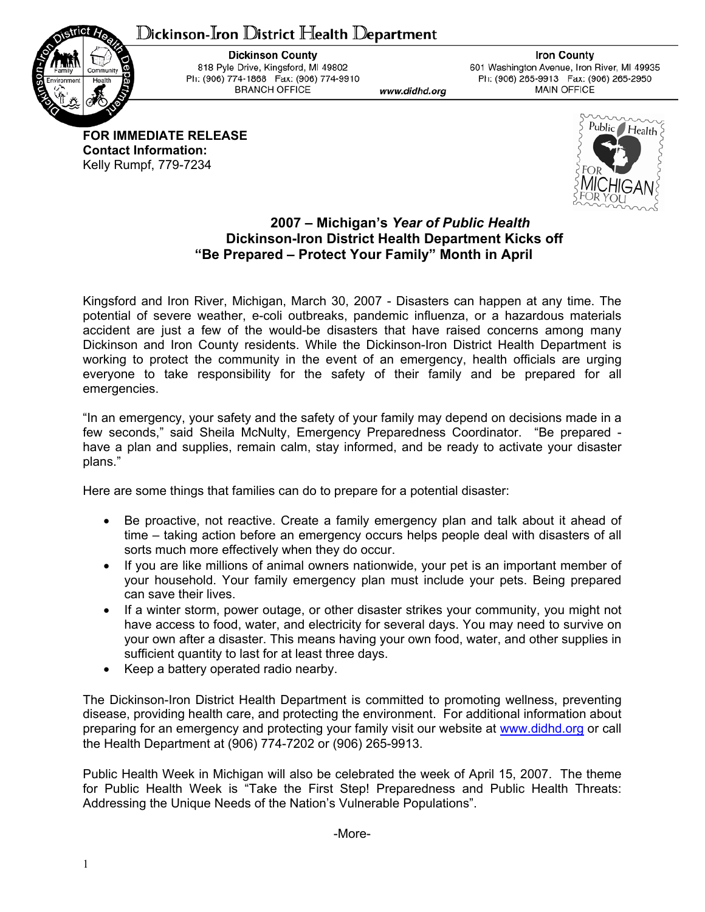## ${\mathbb D}$ ickinson-Iron  ${\mathbb D}$ istrict Health  ${\mathbb D}$ epartment



**Dickinson County** 818 Pyle Drive, Kingsford, MI 49802 Ph: (906) 774-1868 Fax: (906) 774-9910 **BRANCH OFFICE** 

www.didhd.org

**Iron County** 601 Washington Avenue, Iron River, MI 49935 Ph: (906) 265-9913 Fax: (906) 265-2950 **MAIN OFFICE** 

**FOR IMMEDIATE RELEASE Contact Information:**  Kelly Rumpf, 779-7234



## **2007 – Michigan's** *Year of Public Health*  **Dickinson-Iron District Health Department Kicks off "Be Prepared – Protect Your Family" Month in April**

Kingsford and Iron River, Michigan, March 30, 2007 - Disasters can happen at any time. The potential of severe weather, e-coli outbreaks, pandemic influenza, or a hazardous materials accident are just a few of the would-be disasters that have raised concerns among many Dickinson and Iron County residents. While the Dickinson-Iron District Health Department is working to protect the community in the event of an emergency, health officials are urging everyone to take responsibility for the safety of their family and be prepared for all emergencies.

"In an emergency, your safety and the safety of your family may depend on decisions made in a few seconds," said Sheila McNulty, Emergency Preparedness Coordinator. "Be prepared have a plan and supplies, remain calm, stay informed, and be ready to activate your disaster plans."

Here are some things that families can do to prepare for a potential disaster:

- Be proactive, not reactive. Create a family emergency plan and talk about it ahead of time – taking action before an emergency occurs helps people deal with disasters of all sorts much more effectively when they do occur.
- If you are like millions of animal owners nationwide, your pet is an important member of your household. Your family emergency plan must include your pets. Being prepared can save their lives.
- If a winter storm, power outage, or other disaster strikes your community, you might not have access to food, water, and electricity for several days. You may need to survive on your own after a disaster. This means having your own food, water, and other supplies in sufficient quantity to last for at least three days.
- Keep a battery operated radio nearby.

The Dickinson-Iron District Health Department is committed to promoting wellness, preventing disease, providing health care, and protecting the environment. For additional information about preparing for an emergency and protecting your family visit our website at www.didhd.org or call the Health Department at (906) 774-7202 or (906) 265-9913.

Public Health Week in Michigan will also be celebrated the week of April 15, 2007. The theme for Public Health Week is "Take the First Step! Preparedness and Public Health Threats: Addressing the Unique Needs of the Nation's Vulnerable Populations".